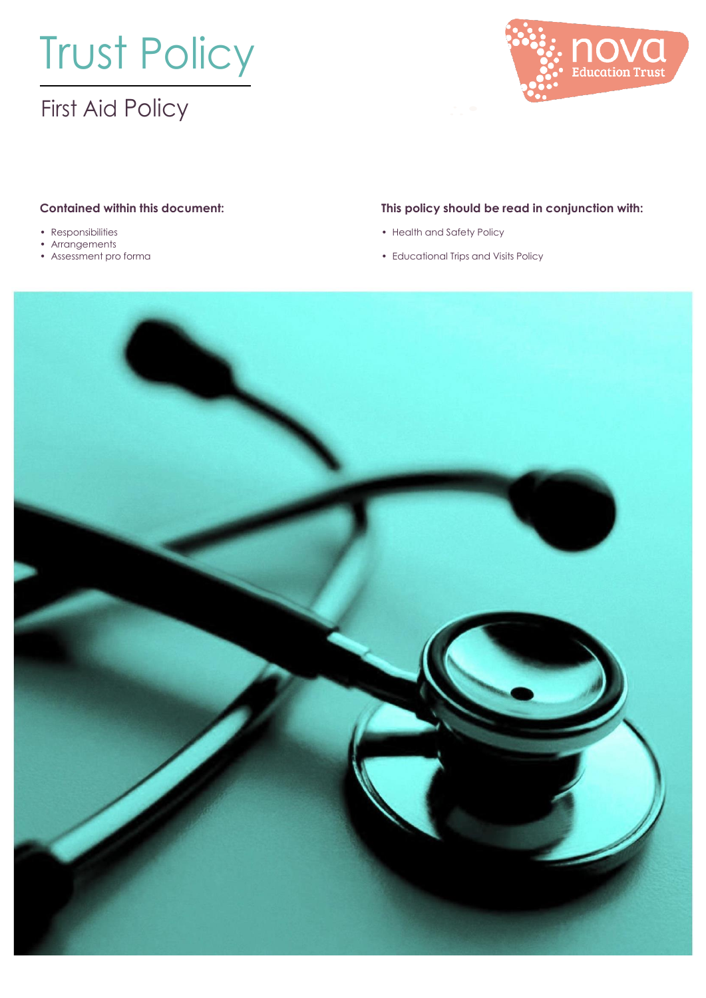# Trust Policy

## First Aid Policy



- 
- Arrangements<br>• Assessment pro forma
- 

#### **Contained within this document: This policy should be read in conjunction with:**

- Responsibilities Health and Safety Policy
	- Educational Trips and Visits Policy

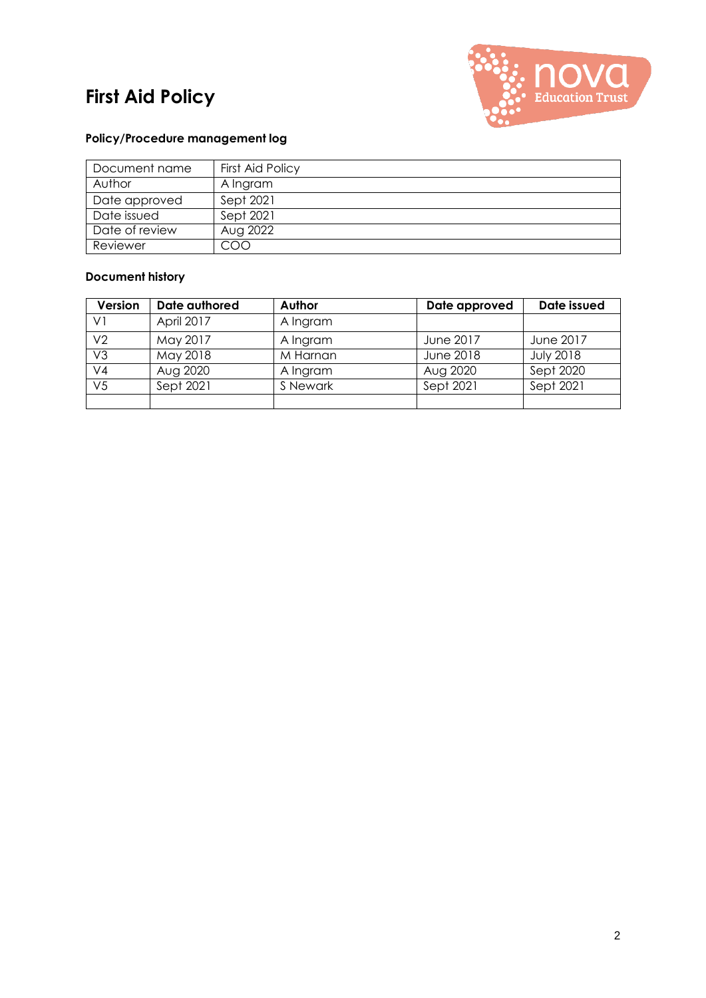## **First Aid Policy**



#### **Policy/Procedure management log**

| Document name  | First Aid Policy |
|----------------|------------------|
| Author         | A Ingram         |
| Date approved  | Sept 2021        |
| Date issued    | Sept 2021        |
| Date of review | Aug 2022         |
| Reviewer       | COO              |

#### **Document history**

| Version        | Date authored | Author   | Date approved    | Date issued      |
|----------------|---------------|----------|------------------|------------------|
| V١             | April 2017    | A Ingram |                  |                  |
| V2             | May 2017      | A Ingram | <b>June 2017</b> | June 2017        |
| V3             | May 2018      | M Harnan | <b>June 2018</b> | <b>July 2018</b> |
| V4             | Aug 2020      | A Ingram | Aug 2020         | Sept 2020        |
| V <sub>5</sub> | Sept 2021     | S Newark | Sept 2021        | Sept 2021        |
|                |               |          |                  |                  |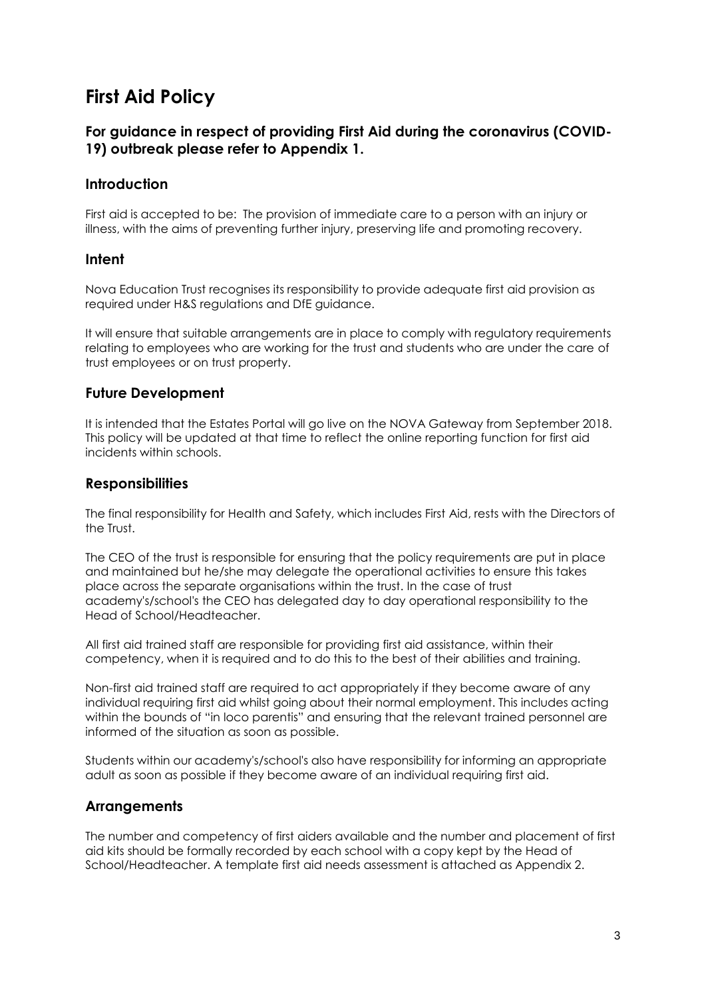## **First Aid Policy**

#### **For guidance in respect of providing First Aid during the coronavirus (COVID-19) outbreak please refer to Appendix 1.**

#### **Introduction**

First aid is accepted to be: The provision of immediate care to a person with an injury or illness, with the aims of preventing further injury, preserving life and promoting recovery.

#### **Intent**

Nova Education Trust recognises its responsibility to provide adequate first aid provision as required under H&S regulations and DfE guidance.

It will ensure that suitable arrangements are in place to comply with regulatory requirements relating to employees who are working for the trust and students who are under the care of trust employees or on trust property.

#### **Future Development**

It is intended that the Estates Portal will go live on the NOVA Gateway from September 2018. This policy will be updated at that time to reflect the online reporting function for first aid incidents within schools.

#### **Responsibilities**

The final responsibility for Health and Safety, which includes First Aid, rests with the Directors of the Trust.

The CEO of the trust is responsible for ensuring that the policy requirements are put in place and maintained but he/she may delegate the operational activities to ensure this takes place across the separate organisations within the trust. In the case of trust academy's/school's the CEO has delegated day to day operational responsibility to the Head of School/Headteacher.

All first aid trained staff are responsible for providing first aid assistance, within their competency, when it is required and to do this to the best of their abilities and training.

Non-first aid trained staff are required to act appropriately if they become aware of any individual requiring first aid whilst going about their normal employment. This includes acting within the bounds of "in loco parentis" and ensuring that the relevant trained personnel are informed of the situation as soon as possible.

Students within our academy's/school's also have responsibility for informing an appropriate adult as soon as possible if they become aware of an individual requiring first aid.

#### **Arrangements**

The number and competency of first aiders available and the number and placement of first aid kits should be formally recorded by each school with a copy kept by the Head of School/Headteacher. A template first aid needs assessment is attached as Appendix 2.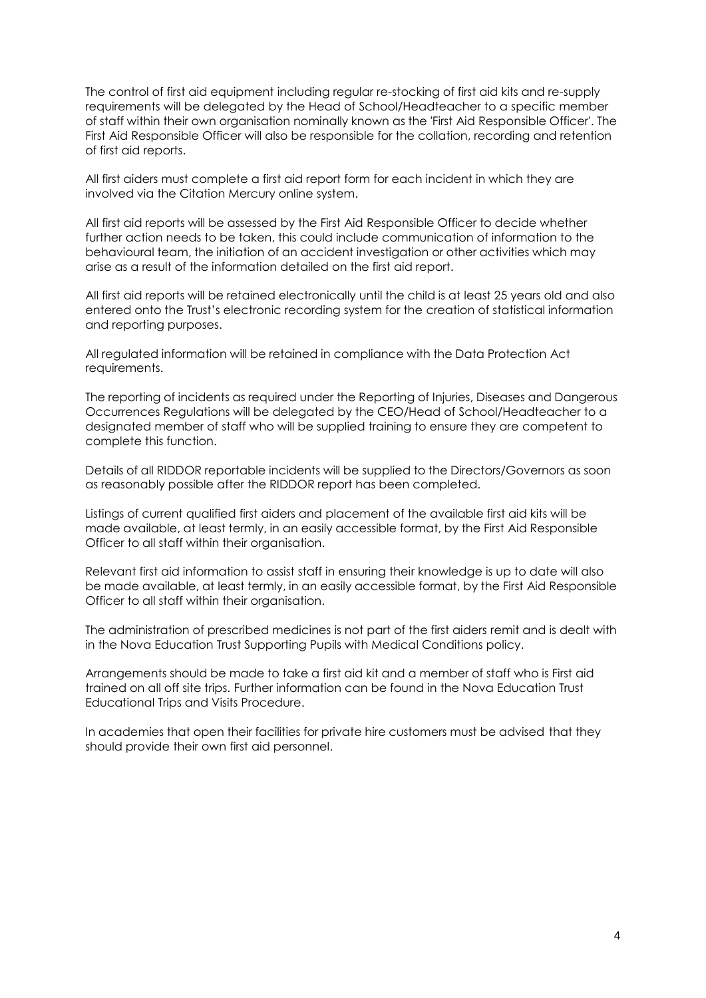The control of first aid equipment including regular re-stocking of first aid kits and re-supply requirements will be delegated by the Head of School/Headteacher to a specific member of staff within their own organisation nominally known as the 'First Aid Responsible Officer'. The First Aid Responsible Officer will also be responsible for the collation, recording and retention of first aid reports.

All first aiders must complete a first aid report form for each incident in which they are involved via the Citation Mercury online system.

All first aid reports will be assessed by the First Aid Responsible Officer to decide whether further action needs to be taken, this could include communication of information to the behavioural team, the initiation of an accident investigation or other activities which may arise as a result of the information detailed on the first aid report.

All first aid reports will be retained electronically until the child is at least 25 years old and also entered onto the Trust's electronic recording system for the creation of statistical information and reporting purposes.

All regulated information will be retained in compliance with the Data Protection Act requirements.

The reporting of incidents as required under the Reporting of Injuries, Diseases and Dangerous Occurrences Regulations will be delegated by the CEO/Head of School/Headteacher to a designated member of staff who will be supplied training to ensure they are competent to complete this function.

Details of all RIDDOR reportable incidents will be supplied to the Directors/Governors as soon as reasonably possible after the RIDDOR report has been completed.

Listings of current qualified first aiders and placement of the available first aid kits will be made available, at least termly, in an easily accessible format, by the First Aid Responsible Officer to all staff within their organisation.

Relevant first aid information to assist staff in ensuring their knowledge is up to date will also be made available, at least termly, in an easily accessible format, by the First Aid Responsible Officer to all staff within their organisation.

The administration of prescribed medicines is not part of the first aiders remit and is dealt with in the Nova Education Trust Supporting Pupils with Medical Conditions policy.

Arrangements should be made to take a first aid kit and a member of staff who is First aid trained on all off site trips. Further information can be found in the Nova Education Trust Educational Trips and Visits Procedure.

In academies that open their facilities for private hire customers must be advised that they should provide their own first aid personnel.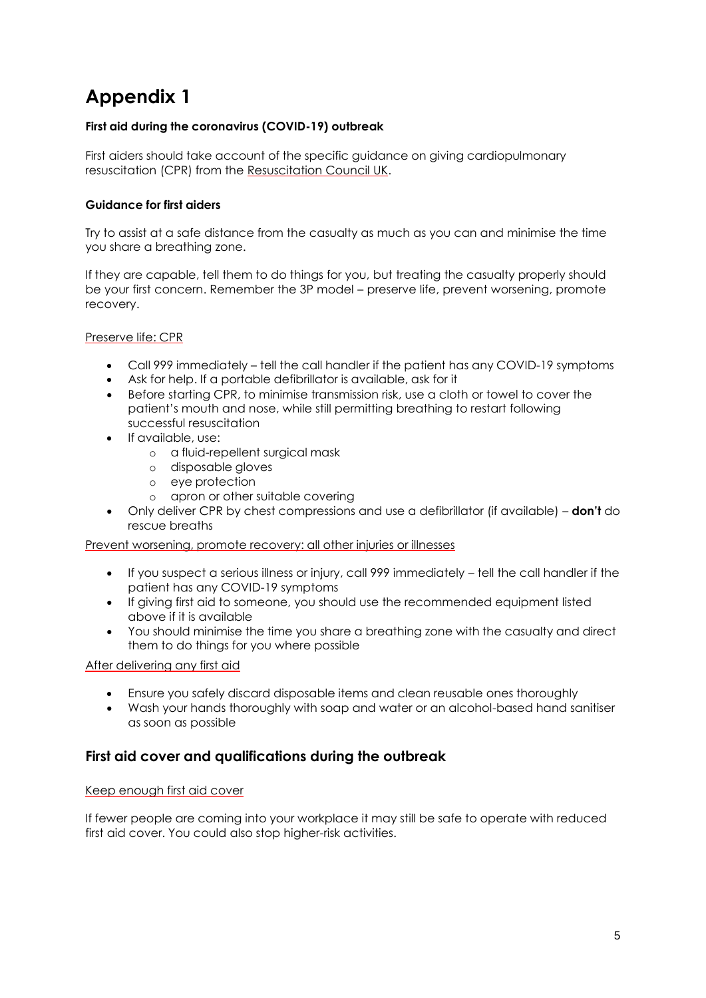## **Appendix 1**

#### **First aid during the coronavirus (COVID-19) outbreak**

First aiders should take account of the specific guidance on giving cardiopulmonary resuscitation (CPR) from the [Resuscitation](https://www.resus.org.uk/media/statements/resuscitation-council-uk-statements-on-covid-19-coronavirus-cpr-and-resuscitation/covid-community/) Council UK.

#### **Guidance for first aiders**

Try to assist at a safe distance from the casualty as much as you can and minimise the time you share a breathing zone.

If they are capable, tell them to do things for you, but treating the casualty properly should be your first concern. Remember the 3P model – preserve life, prevent worsening, promote recovery.

Preserve life: CPR

- Call 999 immediately tell the call handler if the patient has any COVID-19 symptoms
- Ask for help. If a portable defibrillator is available, ask for it
- Before starting CPR, to minimise transmission risk, use a cloth or towel to cover the patient's mouth and nose, while still permitting breathing to restart following successful resuscitation
- If available, use:
	- o a fluid-repellent surgical mask
	- o disposable gloves
	- o eye protection
	- o apron or other suitable covering
- Only deliver CPR by chest compressions and use a defibrillator (if available) **don't** do rescue breaths

Prevent worsening, promote recovery: all other injuries or illnesses

- If you suspect a serious illness or injury, call 999 immediately tell the call handler if the patient has any COVID-19 symptoms
- If giving first aid to someone, you should use the recommended equipment listed above if it is available
- You should minimise the time you share a breathing zone with the casualty and direct them to do things for you where possible

After delivering any first aid

- Ensure you safely discard disposable items and clean reusable ones thoroughly
- Wash your hands thoroughly with soap and water or an alcohol-based hand sanitiser as soon as possible

#### **First aid cover and qualifications during the outbreak**

#### Keep enough first aid cover

If fewer people are coming into your workplace it may still be safe to operate with reduced first aid cover. You could also stop higher-risk activities.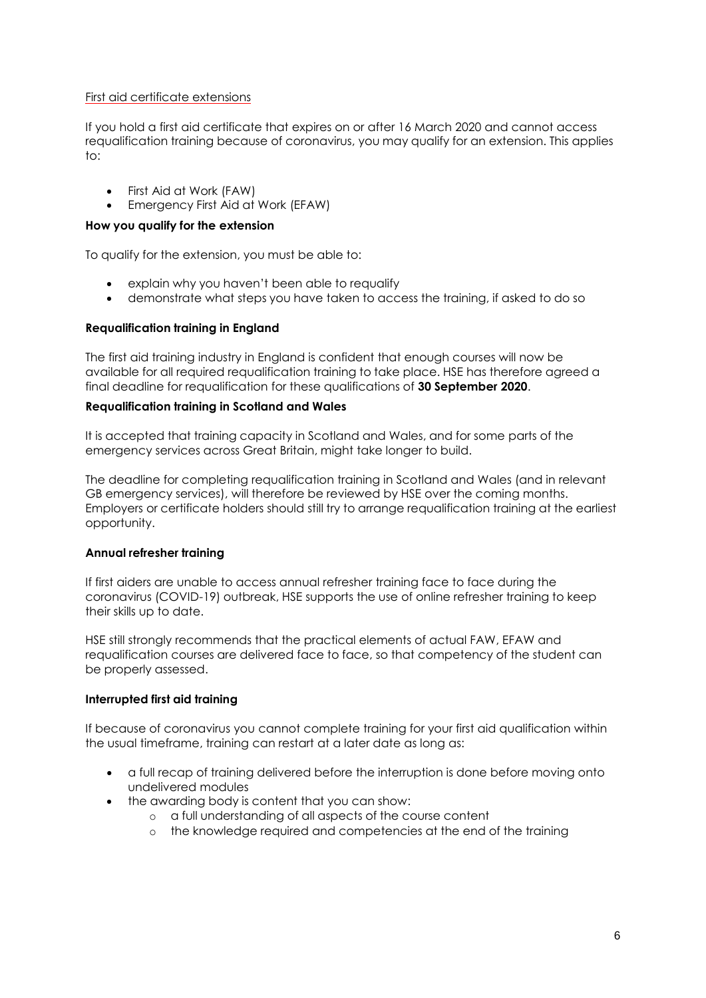#### First aid certificate extensions

If you hold a first aid certificate that expires on or after 16 March 2020 and cannot access requalification training because of coronavirus, you may qualify for an extension. This applies to:

- First Aid at Work (FAW)
- Emergency First Aid at Work (EFAW)

#### **How you qualify for the extension**

To qualify for the extension, you must be able to:

- explain why you haven't been able to requalify
- demonstrate what steps you have taken to access the training, if asked to do so

#### **Requalification training in England**

The first aid training industry in England is confident that enough courses will now be available for all required requalification training to take place. HSE has therefore agreed a final deadline for requalification for these qualifications of **30 September 2020**.

#### **Requalification training in Scotland and Wales**

It is accepted that training capacity in Scotland and Wales, and for some parts of the emergency services across Great Britain, might take longer to build.

The deadline for completing requalification training in Scotland and Wales (and in relevant GB emergency services), will therefore be reviewed by HSE over the coming months. Employers or certificate holders should still try to arrange requalification training at the earliest opportunity.

#### **Annual refresher training**

If first aiders are unable to access annual refresher training face to face during the coronavirus (COVID-19) outbreak, HSE supports the use of online refresher training to keep their skills up to date.

HSE still strongly recommends that the practical elements of actual FAW, EFAW and requalification courses are delivered face to face, so that competency of the student can be properly assessed.

#### **Interrupted first aid training**

If because of coronavirus you cannot complete training for your first aid qualification within the usual timeframe, training can restart at a later date as long as:

- a full recap of training delivered before the interruption is done before moving onto undelivered modules
- the awarding body is content that you can show:
	- o a full understanding of all aspects of the course content
	- o the knowledge required and competencies at the end of the training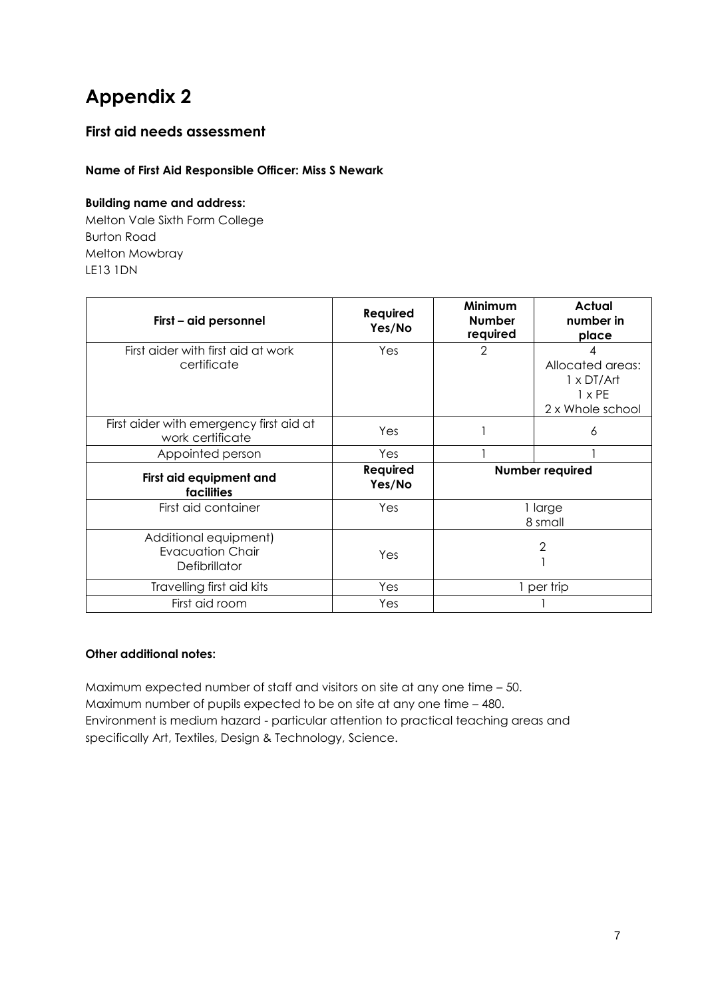## **Appendix 2**

### **First aid needs assessment**

#### **Name of First Aid Responsible Officer: Miss S Newark**

#### **Building name and address:**

Melton Vale Sixth Form College Burton Road Melton Mowbray LE13 1DN

| First - aid personnel                                             | <b>Required</b><br>Yes/No | <b>Minimum</b><br><b>Number</b><br>required | Actual<br>number in<br>place                                               |
|-------------------------------------------------------------------|---------------------------|---------------------------------------------|----------------------------------------------------------------------------|
| First aider with first aid at work<br>certificate                 | Yes                       | $\overline{2}$                              | Allocated areas:<br>$1 \times DT/Art$<br>$1 \times PE$<br>2 x Whole school |
| First aider with emergency first aid at<br>work certificate       | Yes                       |                                             | 6                                                                          |
| Appointed person                                                  | Yes                       |                                             |                                                                            |
| First aid equipment and<br>facilities                             | Required<br>Yes/No        | <b>Number required</b>                      |                                                                            |
| First aid container                                               | Yes                       |                                             | 1 large<br>8 small                                                         |
| Additional equipment)<br><b>Evacuation Chair</b><br>Defibrillator | Yes                       |                                             | 2                                                                          |
| Travelling first aid kits                                         | Yes                       |                                             | 1 per trip                                                                 |
| First aid room                                                    | Yes                       |                                             |                                                                            |

#### **Other additional notes:**

Maximum expected number of staff and visitors on site at any one time – 50. Maximum number of pupils expected to be on site at any one time – 480. Environment is medium hazard - particular attention to practical teaching areas and specifically Art, Textiles, Design & Technology, Science.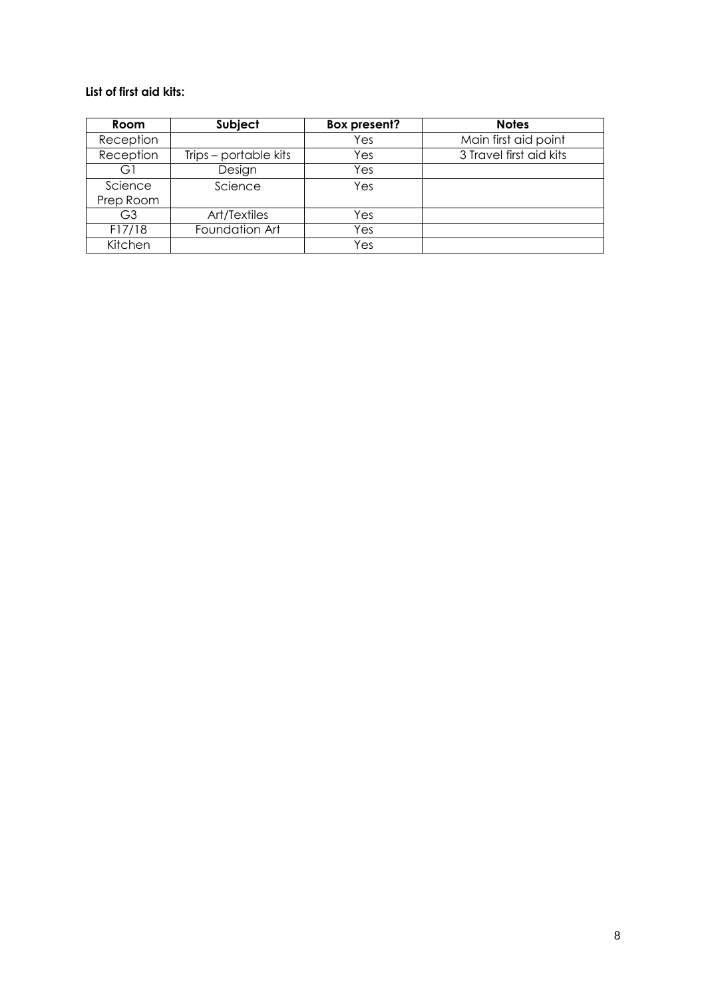#### **List of first aid kits:**

| Room      | Subject               | <b>Box present?</b> | <b>Notes</b>            |
|-----------|-----------------------|---------------------|-------------------------|
| Reception |                       | Yes                 | Main first aid point    |
| Reception | Trips – portable kits | Yes                 | 3 Travel first aid kits |
| GΙ        | Design                | Yes                 |                         |
| Science   | Science               | Yes                 |                         |
| Prep Room |                       |                     |                         |
| G3        | Art/Textiles          | Yes                 |                         |
| F17/18    | Foundation Art        | Yes                 |                         |
| Kitchen   |                       | Yes                 |                         |